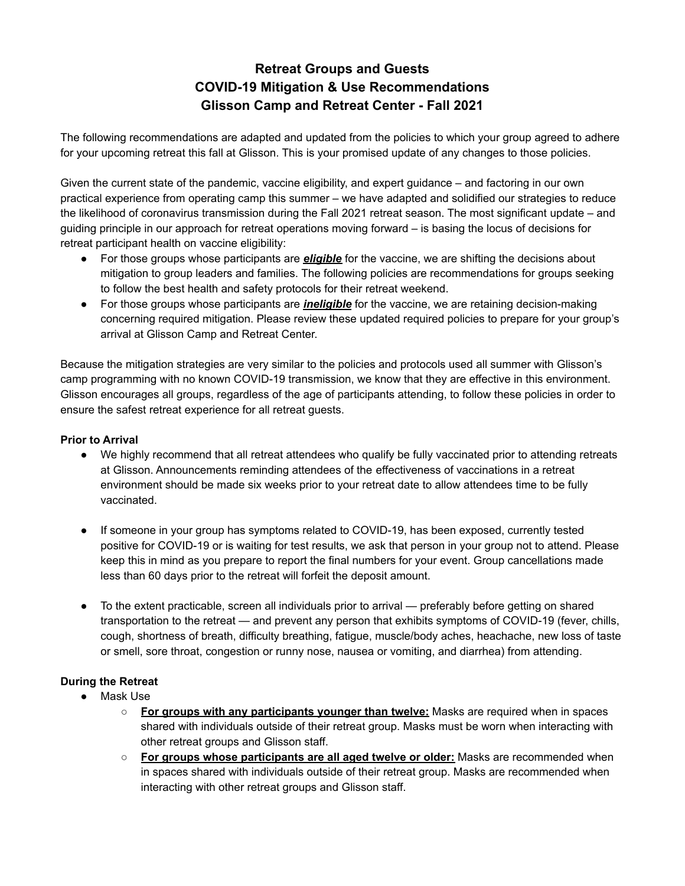## **Retreat Groups and Guests COVID-19 Mitigation & Use Recommendations Glisson Camp and Retreat Center - Fall 2021**

The following recommendations are adapted and updated from the policies to which your group agreed to adhere for your upcoming retreat this fall at Glisson. This is your promised update of any changes to those policies.

Given the current state of the pandemic, vaccine eligibility, and expert guidance – and factoring in our own practical experience from operating camp this summer – we have adapted and solidified our strategies to reduce the likelihood of coronavirus transmission during the Fall 2021 retreat season. The most significant update – and guiding principle in our approach for retreat operations moving forward – is basing the locus of decisions for retreat participant health on vaccine eligibility:

- For those groups whose participants are *eligible* for the vaccine, we are shifting the decisions about mitigation to group leaders and families. The following policies are recommendations for groups seeking to follow the best health and safety protocols for their retreat weekend.
- For those groups whose participants are *ineligible* for the vaccine, we are retaining decision-making concerning required mitigation. Please review these updated required policies to prepare for your group's arrival at Glisson Camp and Retreat Center.

Because the mitigation strategies are very similar to the policies and protocols used all summer with Glisson's camp programming with no known COVID-19 transmission, we know that they are effective in this environment. Glisson encourages all groups, regardless of the age of participants attending, to follow these policies in order to ensure the safest retreat experience for all retreat guests.

## **Prior to Arrival**

- We highly recommend that all retreat attendees who qualify be fully vaccinated prior to attending retreats at Glisson. Announcements reminding attendees of the effectiveness of vaccinations in a retreat environment should be made six weeks prior to your retreat date to allow attendees time to be fully vaccinated.
- If someone in your group has symptoms related to COVID-19, has been exposed, currently tested positive for COVID-19 or is waiting for test results, we ask that person in your group not to attend. Please keep this in mind as you prepare to report the final numbers for your event. Group cancellations made less than 60 days prior to the retreat will forfeit the deposit amount.
- To the extent practicable, screen all individuals prior to arrival preferably before getting on shared transportation to the retreat — and prevent any person that exhibits symptoms of COVID-19 (fever, chills, cough, shortness of breath, difficulty breathing, fatigue, muscle/body aches, heachache, new loss of taste or smell, sore throat, congestion or runny nose, nausea or vomiting, and diarrhea) from attending.

## **During the Retreat**

- Mask Use
	- **For groups with any participants younger than twelve:** Masks are required when in spaces shared with individuals outside of their retreat group. Masks must be worn when interacting with other retreat groups and Glisson staff.
	- **For groups whose participants are all aged twelve or older:** Masks are recommended when in spaces shared with individuals outside of their retreat group. Masks are recommended when interacting with other retreat groups and Glisson staff.